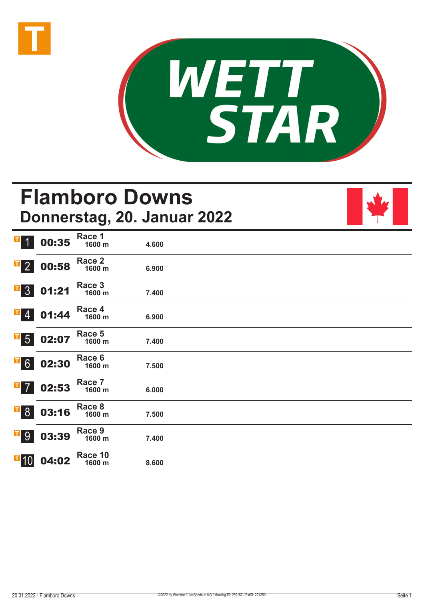



# **Flamboro Downs Donnerstag, 20. Januar 2022**

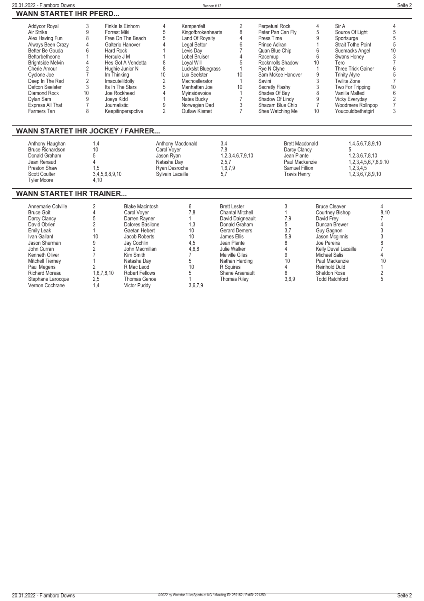| 20.01.2022 - Flamboro Downs                                                                                                                                                                                                                                                      |                                                         |                                                                                                                                                                                                                                                                           |                                                                                  | Rennen #12                                                                                                                                                                                                                                                 |                                                           |                                                                                                                                                                                                                                                                   |                                                  |                                                                                                                                                                                                                                                                               | Seite 2                                                                                             |
|----------------------------------------------------------------------------------------------------------------------------------------------------------------------------------------------------------------------------------------------------------------------------------|---------------------------------------------------------|---------------------------------------------------------------------------------------------------------------------------------------------------------------------------------------------------------------------------------------------------------------------------|----------------------------------------------------------------------------------|------------------------------------------------------------------------------------------------------------------------------------------------------------------------------------------------------------------------------------------------------------|-----------------------------------------------------------|-------------------------------------------------------------------------------------------------------------------------------------------------------------------------------------------------------------------------------------------------------------------|--------------------------------------------------|-------------------------------------------------------------------------------------------------------------------------------------------------------------------------------------------------------------------------------------------------------------------------------|-----------------------------------------------------------------------------------------------------|
| <b>WANN STARTET IHR PFERD</b>                                                                                                                                                                                                                                                    |                                                         |                                                                                                                                                                                                                                                                           |                                                                                  |                                                                                                                                                                                                                                                            |                                                           |                                                                                                                                                                                                                                                                   |                                                  |                                                                                                                                                                                                                                                                               |                                                                                                     |
| <b>Addycor Royal</b><br>Air Strike<br>Alex Having Fun<br>Always Been Crazy<br>Better Be Gouda<br>Bettorbetheone<br><b>Brightside Melvin</b><br>Cherie Amour<br>Cyclone Joe<br>Deep In The Red<br>Defcon Seelster<br>Diamond Rock<br>Dylan Sam<br>Express All That<br>Farmers Tan | 3<br>9<br>8<br>6<br>$\overline{2}$<br>3<br>10<br>9<br>8 | Finkle Is Einhorn<br>Forrest Miki<br>Free On The Beach<br>Galterio Hanover<br>Hard Rock<br>Hercule J M<br>Hes Got A Vendetta<br>Hughie Junior N<br>Im Thinking<br>Imacutelildolly<br>Its In The Stars<br>Joe Rockhead<br>Joeys Kidd<br>Journalistic<br>Keepitinperspctive | 4<br>5<br>5<br>8<br>10<br>$\overline{2}$<br>5<br>$\Delta$<br>9<br>$\overline{2}$ | Kempenfelt<br>Kingofbrokenhearts<br>Land Of Royalty<br>Legal Bettor<br>Levis Dav<br>Lobel Bruiser<br>Loyal Will<br>Luckslst Bluegrass<br>Lux Seelster<br>Machcellerator<br>Manhattan Joe<br>Myinsidevoice<br>Nates Bucky<br>Norwegian Dad<br>Outlaw Kismet | $\overline{2}$<br>8<br>4<br>10<br>10<br>3                 | Perpetual Rock<br>Peter Pan Can Flv<br>Press Time<br>Prince Adiran<br>Quan Blue Chip<br>Racemup<br>Rocknrolls Shadow<br>Rye N Clyne<br>Sam Mckee Hanover<br>Savini<br>Secretly Flashy<br>Shades Of Bay<br>Shadow Of Lindy<br>Shazam Blue Chip<br>Shes Watching Me | 4<br>5<br>g<br>6<br>6<br>10<br>3<br>8<br>9<br>10 | Sir A<br>Source Of Light<br>Sportsurge<br>Strait Tothe Point<br>Suemacks Angel<br>Swans Honey<br>Tero<br>Three Trick Gainer<br><b>Trinity Alyre</b><br><b>Twilite Zone</b><br>Two For Tripping<br>Vanilla Malted<br>Vicky Everyday<br>Woodmere Rollnpop<br>Youcouldbethatgirl | $\overline{4}$<br>5<br>$\frac{5}{5}$<br>10<br>3<br>10<br>6<br>$\overline{c}$<br>$\overline{7}$<br>3 |
| <b>WANN STARTET IHR JOCKEY / FAHRER</b>                                                                                                                                                                                                                                          |                                                         |                                                                                                                                                                                                                                                                           |                                                                                  |                                                                                                                                                                                                                                                            |                                                           |                                                                                                                                                                                                                                                                   |                                                  |                                                                                                                                                                                                                                                                               |                                                                                                     |
| Anthony Haughan<br><b>Bruce Richardson</b><br>Donald Graham<br>Jean Renaud<br>Preston Shaw<br><b>Scott Coulter</b><br><b>Tyler Moore</b>                                                                                                                                         | 1,4<br>10<br>5<br>1,5                                   | 3,4,5,6,8,9,10<br>4.10                                                                                                                                                                                                                                                    | Carol Voyer<br>Jason Ryan<br>Natasha Day<br>Ryan Desroche<br>Sylvain Lacaille    | Anthony Macdonald                                                                                                                                                                                                                                          | 3,4<br>7.8<br>1,2,3,4,6,7,9,10<br>2,5,7<br>1,6,7,9<br>5.7 | <b>Brett Macdonald</b><br>Darcy Clancy<br>Jean Plante<br>Paul Mackenzie<br>Samuel Fillion<br><b>Travis Henry</b>                                                                                                                                                  |                                                  | 1,4,5,6,7,8,9,10<br>1,2,3,6,7,8,10<br>1,2,3,4,5,6,7,8,9,10<br>1,2,3,4,5<br>1,2,3,6,7,8,9,10                                                                                                                                                                                   |                                                                                                     |

### **WANN STARTET IHR TRAINER...**

| Annemarie Colville      |            | <b>Blake Macintosh</b> |         | <b>Brett Lester</b>     |       | <b>Bruce Cleaver</b>        |      |
|-------------------------|------------|------------------------|---------|-------------------------|-------|-----------------------------|------|
| <b>Bruce Goit</b>       |            | Carol Vover            | 8.'     | <b>Chantal Mitchell</b> |       | Courtney Bishop             | 8,10 |
| Darcy Clancy            |            | Darren Ravner          |         | David Daigneault        | 7,9   | David Frev                  |      |
| David Obrien            |            | Dolores Basilone       | l.3     | Donald Graham           |       | Duncan Brewer               |      |
| Emily Leak              |            | Gaetan Hebert          | 10      | <b>Gerard Demers</b>    | 3,7   | Guy Gagnon                  |      |
| Ivan Gallant            | 10         | Jacob Roberts          | 10      | James Ellis             | 5.9   | Jason Mcginnis              |      |
| Jason Sherman           |            | Jay Cochlin            | 4.5     | Jean Plante             |       | Joe Pereira                 |      |
| John Curran             |            | John Macmillan         | 4,6,8   | Julie Walker            |       | <b>Kelly Duval Lacaille</b> |      |
| Kenneth Oliver          |            | Kim Smith              |         | <b>Melville Giles</b>   |       | Michael Salis               |      |
| <b>Mitchell Tierney</b> |            | Natasha Dav            |         | Nathan Harding          | 10    | Paul Mackenzie              | 10   |
| Paul Megens             |            | R Mac Leod             | 10      | R Sauires               |       | Reinhold Duld               |      |
| <b>Richard Moreau</b>   | 1,6,7,8,10 | <b>Robert Fellows</b>  |         | Shane Arsenault         |       | Sheldon Rose                |      |
| Stephane Larocque       | 2,5        | Thomas Genoe           |         | <b>Thomas Rilev</b>     | 3,6,9 | <b>Todd Ratchford</b>       |      |
| Vernon Cochrane         | 4.،        | <b>Victor Puddy</b>    | 3,6,7,9 |                         |       |                             |      |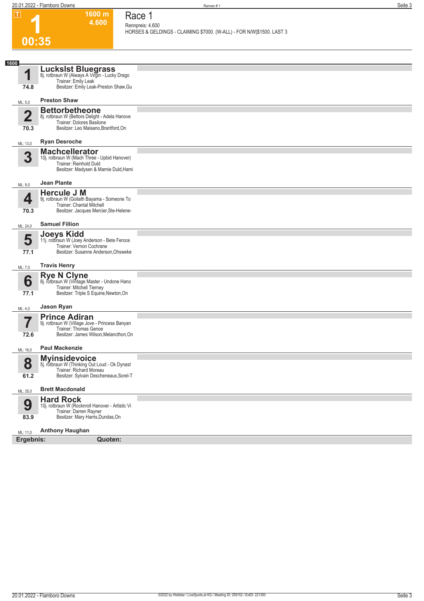|      | $\overline{\mathbf{T}}$ | 1600 m<br>4.600                                                                                                                            | Race 1                                                                                    |
|------|-------------------------|--------------------------------------------------------------------------------------------------------------------------------------------|-------------------------------------------------------------------------------------------|
|      |                         |                                                                                                                                            | Rennpreis: 4.600<br>HORSES & GELDINGS - CLAIMING \$7000. (W-ALL) - FOR N/W \$1500. LAST 3 |
|      | 00:35                   |                                                                                                                                            |                                                                                           |
| 1600 |                         |                                                                                                                                            |                                                                                           |
|      | 1                       | LucksIst Bluegrass<br>8j. rotbraun W (Always A Virgin - Lucky Drago                                                                        |                                                                                           |
|      | 74.8                    | Trainer: Emily Leak<br>Besitzer: Emily Leak-Preston Shaw, Gu                                                                               |                                                                                           |
|      | ML: 5.0                 | <b>Preston Shaw</b>                                                                                                                        |                                                                                           |
|      | $\overline{\mathbf{2}}$ | <b>Bettorbetheone</b><br>8j. rotbraun W (Bettors Delight - Adela Hanove                                                                    |                                                                                           |
|      | 70.3                    | Trainer: Dolores Basilone<br>Besitzer: Leo Maisano, Brantford, On                                                                          |                                                                                           |
|      | ML: 13,0                | <b>Ryan Desroche</b>                                                                                                                       |                                                                                           |
|      | 3                       | <b>Machcellerator</b><br>10j. rotbraun W (Mach Three - Upbid Hanover)<br>Trainer: Reinhold Duld                                            |                                                                                           |
|      |                         | Besitzer: Madysen & Marnie Duld, Hami                                                                                                      |                                                                                           |
|      | ML: 9,0                 | <b>Jean Plante</b>                                                                                                                         |                                                                                           |
|      | 4                       | <b>Hercule J M</b><br>9j. rotbraun W (Goliath Bayama - Someone To<br>Trainer: Chantal Mitchell                                             |                                                                                           |
|      | 70.3                    | Besitzer: Jacques Mercier, Ste-Helene-                                                                                                     |                                                                                           |
|      | ML: 24,0                | <b>Samuel Fillion</b>                                                                                                                      |                                                                                           |
|      | 5                       | Joeys Kidd<br>11j. rotbraun W (Joey Anderson - Bete Feroce<br>Trainer: Vernon Cochrane                                                     |                                                                                           |
|      | 77.1                    | Besitzer: Susanne Anderson, Ohsweke                                                                                                        |                                                                                           |
|      | ML: 7,0                 | <b>Travis Henry</b>                                                                                                                        |                                                                                           |
|      | 6<br>77.1               | Rye N Clyne<br>8j. rotbraun W (Vintage Master - Undone Hano<br>Trainer: Mitchell Tierney<br>Besitzer: Triple S Equine, Newton, On          |                                                                                           |
|      | ML: 4,0                 | Jason Ryan                                                                                                                                 |                                                                                           |
|      |                         | <b>Prince Adiran</b><br>9j. rotbraun W (Village Jove - Princess Banyan<br>Trainer: Thomas Genoe                                            |                                                                                           |
|      | 72.6                    | Besitzer: James Wilson, Melancthon, On                                                                                                     |                                                                                           |
|      | ML: 16,0                | <b>Paul Mackenzie</b>                                                                                                                      |                                                                                           |
|      | 8<br>61.2               | <b>Myinsidevoice</b><br>5j. rotbraun W (Thinking Out Loud - Ok Dynast<br>Trainer: Richard Moreau<br>Besitzer: Sylvain Descheneaux, Sorel-T |                                                                                           |
|      | ML: 35,0                | <b>Brett Macdonald</b>                                                                                                                     |                                                                                           |
|      |                         | <b>Hard Rock</b>                                                                                                                           |                                                                                           |
|      | 9                       | 10j. rotbraun W (Rocknroll Hanover - Artistic Vi<br>Trainer: Darren Rayner<br>Besitzer: Mary Harris, Dundas, On                            |                                                                                           |
|      | 83.9                    | <b>Anthony Haughan</b>                                                                                                                     |                                                                                           |
|      | ML: 11,0<br>Ergebnis:   | Quoten:                                                                                                                                    |                                                                                           |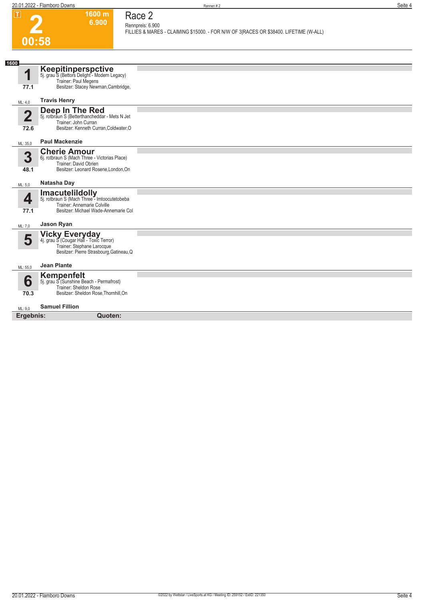**1600 m 6.900** 

**Race 2 Rennpreis: 6.900**

**FILLIES & MARES - CLAIMING \$15000. - FOR N/W OF 3|RACES OR \$38400. LIFETIME (W-ALL)** 

# **2 00:58**

| 1600                    |                                                                                                                                               |  |
|-------------------------|-----------------------------------------------------------------------------------------------------------------------------------------------|--|
| 1                       | Keepitinperspctive<br>5j. grau S (Bettors Delight - Modern Legacy)<br>Trainer: Paul Megens                                                    |  |
| 77.1                    | Besitzer: Stacey Newman, Cambridge,                                                                                                           |  |
| ML: 4,0                 | <b>Travis Henry</b>                                                                                                                           |  |
| $\overline{\mathbf{2}}$ | <b>Deep In The Red</b><br>5j. rotbraun S (Betterthancheddar - Mets N Jet<br>Trainer: John Curran                                              |  |
| 72.6                    | Besitzer: Kenneth Curran, Coldwater, O                                                                                                        |  |
| ML: 35,0                | <b>Paul Mackenzie</b>                                                                                                                         |  |
| 3<br>48.1               | <b>Cherie Amour</b><br>6j. rotbraun S (Mach Three - Victorias Place)<br>Trainer: David Obrien<br>Besitzer: Leonard Rosene, London, On         |  |
| ML: 5.0                 | Natasha Day                                                                                                                                   |  |
| 4<br>77.1               | <b>Imacutelildolly</b><br>5j. rotbraun S (Mach Three - Imtoocutetobeba<br>Trainer: Annemarie Colville<br>Besitzer: Michael Wade-Annemarie Col |  |
| ML: 7.0                 | Jason Ryan                                                                                                                                    |  |
| 5                       | Vicky Everyday<br>4j. grau S (Cougar Hall - Toxic Terror)<br>Trainer: Stephane Larocque<br>Besitzer: Pierre Strasbourg, Gatineau, Q           |  |
| ML: 55,0                | <b>Jean Plante</b>                                                                                                                            |  |
| 6<br>70.3               | <b>Kempenfelt</b><br>5j. grau S (Sunshine Beach - Permafrost)<br>Trainer: Sheldon Rose<br>Besitzer: Sheldon Rose, Thornhill, On               |  |
| ML: 9.0                 | <b>Samuel Fillion</b>                                                                                                                         |  |
| Ergebnis:               | Quoten:                                                                                                                                       |  |
|                         |                                                                                                                                               |  |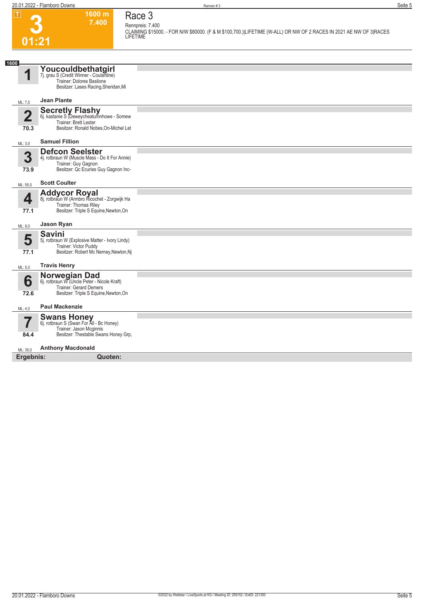**Race 3**



**Rennpreis: 7.400 CLAIMING \$15000. - FOR N/W \$80000. (F & M \$100,700.)|LIFETIME (W-ALL) OR NW OF 2 RACES IN 2021 AE NW OF 3|RACES LIFETIME** 

| 1600                   |                                                                                                                                         |  |
|------------------------|-----------------------------------------------------------------------------------------------------------------------------------------|--|
|                        | Youcouldbethatgirl<br>7j. grau S (Credit Winner - Coulantine)<br>Trainer: Dolores Basilone<br>Besitzer: Lases Racing, Sheridan, Mi      |  |
| ML: 7,0                | <b>Jean Plante</b>                                                                                                                      |  |
| $\overline{2}$<br>70.3 | <b>Secretly Flashy</b><br>6j. kastanie S (Deweycheatumnhowe - Somew<br>Trainer: Brett Lester<br>Besitzer: Ronald Nobes, On-Michel Let   |  |
| ML: 3,0                | <b>Samuel Fillion</b>                                                                                                                   |  |
| 3<br>73.9              | <b>Defcon Seelster</b><br>4j. rotbraun W (Muscle Mass - Do It For Annie)<br>Trainer: Guy Gagnon<br>Besitzer: Qc Ecuries Guy Gagnon Inc- |  |
| ML: 55,0               | <b>Scott Coulter</b>                                                                                                                    |  |
| 4<br>77.1              | Addycor Royal<br>8j. rotbraun W (Armbro Ricochet - Zorgwijk Ha<br>Trainer: Thomas Riley<br>Besitzer: Triple S Equine, Newton, On        |  |
| ML: 9,0                | Jason Ryan                                                                                                                              |  |
| 5<br>77.1              | <b>Savini</b><br>5j. rotbraun W (Explosive Matter - Ivory Lindy)<br>Trainer: Victor Puddy<br>Besitzer: Robert Mc Nerney, Newton, Nj     |  |
| ML: 5.0                | <b>Travis Henry</b>                                                                                                                     |  |
| 6<br>72.6              | Norwegian Dad<br>6j. rotbraun W (Uncle Peter - Nicole Kraft)<br>Trainer: Gerard Demers<br>Besitzer: Triple S Equine, Newton, On         |  |
| ML: 4.0                | <b>Paul Mackenzie</b>                                                                                                                   |  |
| 84.4                   | <b>Swans Honey</b><br>6j. rotbraun S (Swan For All - Bc Honey)<br>Trainer: Jason Mcginnis<br>Besitzer: Thestable Swans Honey Grp,       |  |
| ML: 35,0               | <b>Anthony Macdonald</b>                                                                                                                |  |
| Ergebnis:              | Quoten:                                                                                                                                 |  |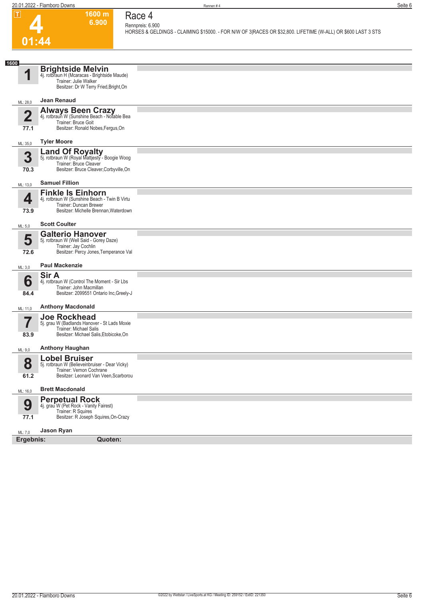

#### **1600 m 6.900 Race 4**

**Rennpreis: 6.900 HORSES & GELDINGS - CLAIMING \$15000. - FOR N/W OF 3|RACES OR \$32,800. LIFETIME (W-ALL) OR \$600 LAST 3 STS** 

| 1600                   |                                                                                                                                              |  |
|------------------------|----------------------------------------------------------------------------------------------------------------------------------------------|--|
| 4                      | <b>Brightside Melvin</b><br>4j. rotbraun H (Mcaracas - Brightside Maude)<br>Trainer: Julie Walker<br>Besitzer: Dr W Terry Fried, Bright, On  |  |
| ML: 28,0               | Jean Renaud                                                                                                                                  |  |
| $\overline{2}$<br>77.1 | Always Been Crazy<br>4j. rotbraun W (Sunshine Beach - Notable Bea<br>Trainer: Bruce Goit<br>Besitzer: Ronald Nobes, Fergus, On               |  |
| ML: 35,0               | <b>Tyler Moore</b>                                                                                                                           |  |
| 3<br>70.3              | <b>Land Of Royalty</b><br>5j. rotbraun W (Royal Mattjesty - Boogie Woog<br>Trainer: Bruce Cleaver<br>Besitzer: Bruce Cleaver, Corbyville, On |  |
| ML: 13,0               | <b>Samuel Fillion</b>                                                                                                                        |  |
| 4<br>73.9              | <b>Finkle Is Einhorn</b><br>4j. rotbraun W (Sunshine Beach - Twin B Virtu<br>Trainer: Duncan Brewer<br>Besitzer: Michelle Brennan, Waterdown |  |
| ML: 5,0                | <b>Scott Coulter</b>                                                                                                                         |  |
| 5<br>72.6              | <b>Galterio Hanover</b><br>5j. rotbraun W (Well Said - Gorey Daze)<br>Trainer: Jay Cochlin<br>Besitzer: Percy Jones, Temperance Val          |  |
| ML: 3,0                | <b>Paul Mackenzie</b>                                                                                                                        |  |
| 6<br>84.4              | <b>Sir A</b><br>4j. rotbraun W (Control The Moment - Sir Lbs<br>Trainer: John Macmillan<br>Besitzer: 2099551 Ontario Inc, Greely-J           |  |
| ML: 11,0               | <b>Anthony Macdonald</b>                                                                                                                     |  |
| 83.9                   | <b>Joe Rockhead</b><br>5j. grau W (Badlands Hanover - St Lads Moxie<br>Trainer: Michael Salis<br>Besitzer: Michael Salis, Etobicoke, On      |  |
| ML: 9,0                | <b>Anthony Haughan</b>                                                                                                                       |  |
| 8<br>61.2              | <b>Lobel Bruiser</b><br>5j. rotbraun W (Believeinbruiser - Dear Vicky)<br>Trainer: Vernon Cochrane<br>Besitzer: Leonard Van Veen, Scarborou  |  |
| ML: 16,0               | <b>Brett Macdonald</b>                                                                                                                       |  |
| 9<br>77.1              | <b>Perpetual Rock</b><br>4j. grau W (Pet Rock - Vanity Fairest)<br>Trainer: R Squires<br>Besitzer: R Joseph Squires, On-Crazy                |  |
| ML: 7,0                | Jason Ryan                                                                                                                                   |  |
| Ergebnis:              | Quoten:                                                                                                                                      |  |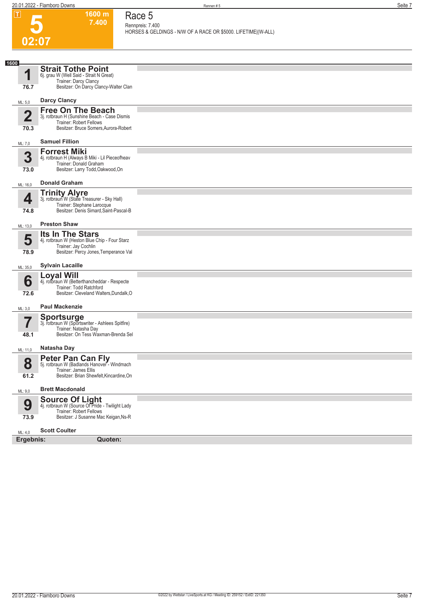**Race 5**

**5**

| 02:07<br>1600<br>1<br>76.7<br>ML: 5,0 | <b>Strait Tothe Point</b><br>6j. grau W (Well Said - Strait N Great)<br>Trainer: Darcy Clancy<br>Besitzer: On Darcy Clancy-Walter Clan<br><b>Darcy Clancy</b><br><b>Free On The Beach</b> | HORSES & GELDINGS - N/W OF A RACE OR \$5000. LIFETIME (W-ALL) |
|---------------------------------------|-------------------------------------------------------------------------------------------------------------------------------------------------------------------------------------------|---------------------------------------------------------------|
|                                       |                                                                                                                                                                                           |                                                               |
|                                       |                                                                                                                                                                                           |                                                               |
|                                       |                                                                                                                                                                                           |                                                               |
|                                       |                                                                                                                                                                                           |                                                               |
|                                       |                                                                                                                                                                                           |                                                               |
|                                       |                                                                                                                                                                                           |                                                               |
| $\overline{2}$<br>70.3                | 3j. rotbraun H (Sunshine Beach - Case Dismis<br>Trainer: Robert Fellows<br>Besitzer: Bruce Somers, Aurora-Robert                                                                          |                                                               |
|                                       | <b>Samuel Fillion</b>                                                                                                                                                                     |                                                               |
| ML: 7,0                               | <b>Forrest Miki</b>                                                                                                                                                                       |                                                               |
| 3<br>73.0                             | 4j. rotbraun H (Always B Miki - Lil Pieceofheav<br>Trainer: Donald Graham<br>Besitzer: Larry Todd, Oakwood, On                                                                            |                                                               |
| ML: 16,0                              | <b>Donald Graham</b>                                                                                                                                                                      |                                                               |
|                                       |                                                                                                                                                                                           |                                                               |
| 4<br>74.8                             | <b>Trinity Alyre</b><br>3j. rotbraun W (State Treasurer - Sky Hall)<br>Trainer: Stephane Larocque<br>Besitzer: Denis Simard, Saint-Pascal-B                                               |                                                               |
| ML: 13,0                              | <b>Preston Shaw</b>                                                                                                                                                                       |                                                               |
| 5                                     | Its In The Stars<br>4j. rotbraun W (Heston Blue Chip - Four Starz                                                                                                                         |                                                               |
| 78.9                                  | Trainer: Jay Cochlin<br>Besitzer: Percy Jones, Temperance Val                                                                                                                             |                                                               |
| ML: 35,0                              | <b>Sylvain Lacaille</b>                                                                                                                                                                   |                                                               |
|                                       | Loyal Will<br>4j. rotbraun W (Betterthancheddar - Respecte                                                                                                                                |                                                               |
| 6<br>72.6                             | Trainer: Todd Ratchford<br>Besitzer: Cleveland Walters, Dundalk, O                                                                                                                        |                                                               |
|                                       | <b>Paul Mackenzie</b>                                                                                                                                                                     |                                                               |
| ML: 3,0                               |                                                                                                                                                                                           |                                                               |
| 77                                    | <b>Sportsurge</b><br>3j. rotbraun W (Sportswriter - Ashlees Spitfire)                                                                                                                     |                                                               |
| 48.1                                  | Trainer: Natasha Day<br>Besitzer: On Tess Waxman-Brenda Sel                                                                                                                               |                                                               |
| ML: 11,0                              | Natasha Day                                                                                                                                                                               |                                                               |
| 8                                     | <b>Peter Pan Can Fly</b><br>5j. rotbraun W (Badlands Hanover - Windmach<br>Trainer: James Ellis<br>Besitzer: Brian Shewfelt, Kincardine, On                                               |                                                               |
| 61.2                                  |                                                                                                                                                                                           |                                                               |
| ML: 9,0                               | <b>Brett Macdonald</b>                                                                                                                                                                    |                                                               |
| 9<br>73.9                             | <b>Source Of Light</b><br>4j. rotbraun W (Source Of Pride - Twilight Lady<br><b>Trainer: Robert Fellows</b><br>Besitzer: J Susanne Mac Keigan, Ns-R                                       |                                                               |
|                                       |                                                                                                                                                                                           |                                                               |
| ML: 4,0<br>Ergebnis:                  | <b>Scott Coulter</b><br>Quoten:                                                                                                                                                           |                                                               |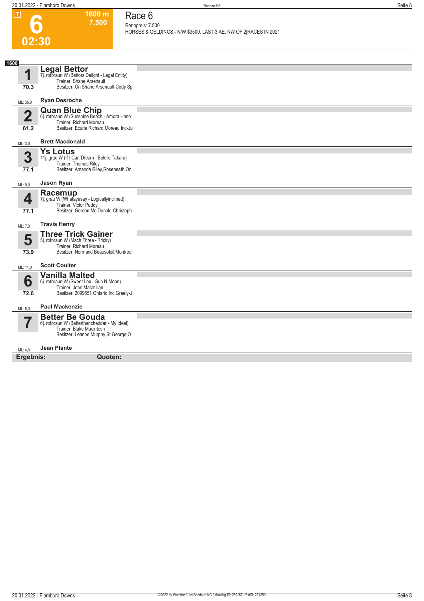**Race 6 Rennpreis: 7.500**

| .                      | ווו טטטו<br>7.500                                                                                                                  | Race o<br>Rennpreis: 7.500                                       |
|------------------------|------------------------------------------------------------------------------------------------------------------------------------|------------------------------------------------------------------|
|                        | 02:30                                                                                                                              | HORSES & GELDINGS - N/W \$3500. LAST 3 AE: NW OF 2 RACES IN 2021 |
|                        |                                                                                                                                    |                                                                  |
| 1600                   |                                                                                                                                    |                                                                  |
| 1                      | <b>Legal Bettor</b><br>7j. rotbraun W (Bettors Delight - Legal Entity)<br>Trainer: Shane Arsenault                                 |                                                                  |
| 70.3                   | Besitzer: On Shane Arsenault-Cody Sp                                                                                               |                                                                  |
| ML: 35,0               | <b>Ryan Desroche</b>                                                                                                               |                                                                  |
| $\overline{2}$<br>61.2 | Quan Blue Chip<br>6j. rotbraun W (Sunshine Beach - Amora Hano<br>Trainer: Richard Moreau<br>Besitzer: Ecurie Richard Moreau Inc-Ju |                                                                  |
| ML: 3,0                | <b>Brett Macdonald</b>                                                                                                             |                                                                  |
|                        | <b>Ys Lotus</b>                                                                                                                    |                                                                  |
| 3                      | 11j. grau W (If I Can Dream - Bolero Takara)                                                                                       |                                                                  |
| 77.1                   | Trainer: Thomas Riley<br>Besitzer: Amanda Riley, Roseneath, On                                                                     |                                                                  |
| ML: 9,0                | Jason Ryan                                                                                                                         |                                                                  |
|                        | Racemup                                                                                                                            |                                                                  |
| 4                      | 7j. grau W (Whatayasay - Logicallyinclined)<br>Trainer: Victor Puddy                                                               |                                                                  |
| 77.1                   | Besitzer: Gordon Mc Donald-Christoph                                                                                               |                                                                  |
| ML: 7,0                | <b>Travis Henry</b>                                                                                                                |                                                                  |
|                        | <b>Three Trick Gainer</b>                                                                                                          |                                                                  |
| 5                      | 5j. rotbraun W (Mach Three - Tricky)<br>Trainer: Richard Moreau                                                                    |                                                                  |
| 73.9                   | Besitzer: Normand Beausoleil, Montreal                                                                                             |                                                                  |
| ML: 11,0               | <b>Scott Coulter</b>                                                                                                               |                                                                  |
|                        | <b>Vanilla Malted</b>                                                                                                              |                                                                  |
| 6                      | 6j. rotbraun W (Sweet Lou - Sun N Moon)<br>Trainer: John Macmillan                                                                 |                                                                  |
| 72.6                   | Besitzer: 2099551 Ontario Inc, Greely-J                                                                                            |                                                                  |
| ML: 5,0                | <b>Paul Mackenzie</b>                                                                                                              |                                                                  |
|                        | <b>Better Be Gouda</b>                                                                                                             |                                                                  |
| 7                      | 6j. rotbraun W (Betterthancheddar - My Ideal)<br>Trainer: Blake Macintosh<br>Besitzer: Leanne Murphy, St George, O                 |                                                                  |
| ML: 4,0                | <b>Jean Plante</b>                                                                                                                 |                                                                  |
| Ergebnis:              | Quoten:                                                                                                                            |                                                                  |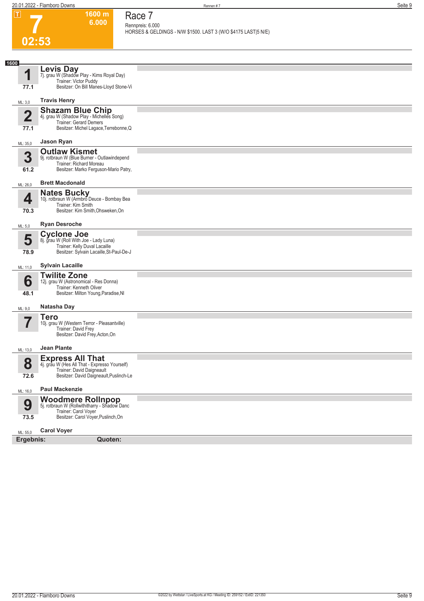**1600 m 6.000** 

**Race 7 Rennpreis: 6.000**

**7**

**HORSES & GELDINGS - N/W \$1500. LAST 3 (W/O \$4175 LAST|5 N/E)** 

| 02:53                           |                                                                                                                                                  |  |
|---------------------------------|--------------------------------------------------------------------------------------------------------------------------------------------------|--|
|                                 |                                                                                                                                                  |  |
| 1600<br>1<br>77.1               | Levis Day<br>7j. grau W (Shadow Play - Kims Royal Day)<br>Trainer: Victor Puddy<br>Besitzer: On Bill Manes-Lloyd Stone-Vi                        |  |
| ML: 3,0                         | <b>Travis Henry</b>                                                                                                                              |  |
| $\overline{\mathbf{2}}$<br>77.1 | Shazam Blue Chip<br>4. grau W (Shadow Play - Michelles Song)<br><b>Trainer: Gerard Demers</b><br>Besitzer: Michel Lagace, Terrebonne, Q          |  |
| ML: 35,0                        | Jason Ryan                                                                                                                                       |  |
| 3<br>61.2                       | <b>Outlaw Kismet</b><br>9j. rotbraun W (Blue Burner - Outlawindepend<br>Trainer: Richard Moreau<br>Besitzer: Marko Ferguson-Mario Patry,         |  |
| ML: 26,0                        | <b>Brett Macdonald</b>                                                                                                                           |  |
| 4<br>70.3                       | <b>Nates Bucky</b><br>10j. rotbraun W (Armbro Deuce - Bombay Bea<br>Trainer: Kim Smith<br>Besitzer: Kim Smith, Ohsweken, On                      |  |
| ML: 5,0                         | <b>Ryan Desroche</b>                                                                                                                             |  |
| 5<br>78.9                       | <b>Cyclone Joe</b><br>8j. grau W (Roll With Joe - Lady Luna)<br>Trainer: Kelly Duval Lacaille<br>Besitzer: Sylvain Lacaille, St-Paul-De-J        |  |
| ML: 11,0                        | <b>Sylvain Lacaille</b>                                                                                                                          |  |
| 6<br>48.1                       | <b>Twilite Zone</b><br>12j. grau W (Astronomical - Res Donna)<br>Trainer: Kenneth Oliver<br>Besitzer: Milton Young, Paradise, NI                 |  |
| ML: 9,0                         | Natasha Day                                                                                                                                      |  |
| $\overline{\phantom{a}}$        | <b>Tero</b><br>10j. grau W (Western Terror - Pleasantville)<br>Trainer: David Frey<br>Besitzer: David Frey, Acton, On                            |  |
| ML: 13,0                        | <b>Jean Plante</b>                                                                                                                               |  |
| 8<br>72.6                       | <b>Express All That</b><br>4j. grau W (Hes All That - Expresso Yourself)<br>Trainer: David Daigneault<br>Besitzer: David Daigneault, Puslinch-Le |  |
| ML: 16,0                        | <b>Paul Mackenzie</b>                                                                                                                            |  |
| 9<br>73.5                       | <b>Woodmere Rollnpop</b><br>5j. rotbraun W (Rollwithitharry - Shadow Danc<br>Trainer: Carol Voyer<br>Besitzer: Carol Voyer, Puslinch, On         |  |
| ML: 55,0                        | <b>Carol Voyer</b>                                                                                                                               |  |
| Ergebnis:                       | Quoten:                                                                                                                                          |  |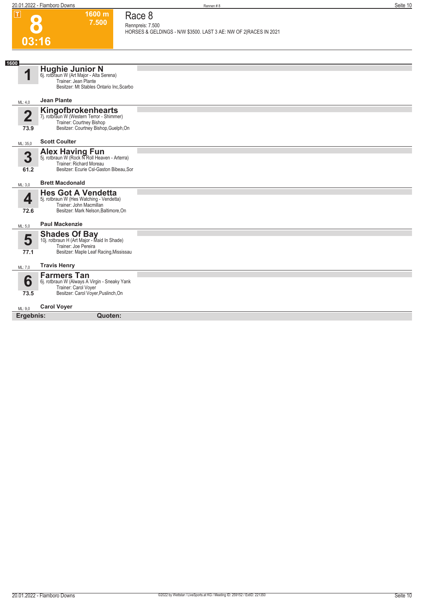**Race 8 Rennpreis: 7.500**

**8**

|                                 |                                                                                                                                               | HORSES & GELDINGS - N/W \$3500. LAST 3 AE: NW OF 2 RACES IN 2021 |
|---------------------------------|-----------------------------------------------------------------------------------------------------------------------------------------------|------------------------------------------------------------------|
| 03:16                           |                                                                                                                                               |                                                                  |
|                                 |                                                                                                                                               |                                                                  |
| 1600<br>1                       | <b>Hughie Junior N</b><br>6j. rotbraun W (Art Major - Alta Serena)<br>Trainer: Jean Plante<br>Besitzer: Mt Stables Ontario Inc, Scarbo        |                                                                  |
| ML: 4,0                         | <b>Jean Plante</b>                                                                                                                            |                                                                  |
| $\overline{\mathbf{2}}$<br>73.9 | <b>Kingofbrokenhearts</b><br>7j. rotbraun W (Western Terror - Shimmer)<br>Trainer: Courtney Bishop<br>Besitzer: Courtney Bishop, Guelph, On   |                                                                  |
| ML: 35,0                        | <b>Scott Coulter</b>                                                                                                                          |                                                                  |
| $\overline{\mathbf{3}}$<br>61.2 | <b>Alex Having Fun</b><br>5j. rotbraun W (Rock N'Roll Heaven - Arterra)<br>Trainer: Richard Moreau<br>Besitzer: Ecurie Csl-Gaston Bibeau, Sor |                                                                  |
| ML: 3,0                         | <b>Brett Macdonald</b>                                                                                                                        |                                                                  |
| 4<br>72.6                       | <b>Hes Got A Vendetta</b><br>5j. rotbraun W (Hes Watching - Vendetta)<br>Trainer: John Macmillan<br>Besitzer: Mark Nelson, Baltimore, On      |                                                                  |
| ML: 5.0                         | <b>Paul Mackenzie</b>                                                                                                                         |                                                                  |
| 5<br>77.1                       | <b>Shades Of Bay</b><br>10j. rotbraun H (Art Major - Maid In Shade)<br>Trainer: Joe Pereira<br>Besitzer: Maple Leaf Racing, Mississau         |                                                                  |
| ML: 7,0                         | <b>Travis Henry</b>                                                                                                                           |                                                                  |
| 6<br>73.5                       | <b>Farmers Tan</b><br>6j. rotbraun W (Always A Virgin - Sneaky Yank<br>Trainer: Carol Voyer<br>Besitzer: Carol Voyer, Puslinch, On            |                                                                  |
| ML: 9,0                         | <b>Carol Voyer</b>                                                                                                                            |                                                                  |
| Ergebnis:                       | Quoten:                                                                                                                                       |                                                                  |
|                                 |                                                                                                                                               |                                                                  |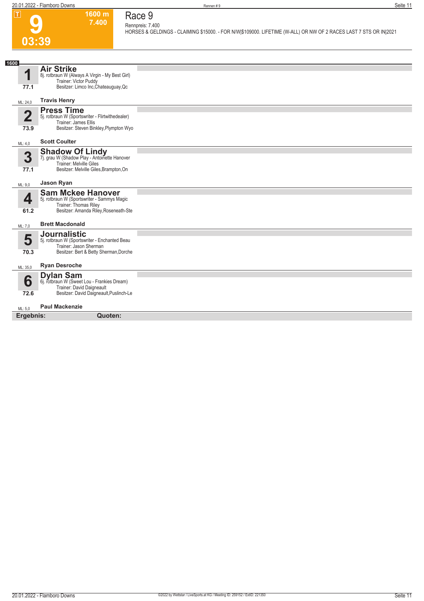

#### **7.400 Race 9 Rennpreis: 7.400**

**1600 m**

**HORSES & GELDINGS - CLAIMING \$15000. - FOR N/W|\$109000. LIFETIME (W-ALL) OR NW OF 2 RACES LAST 7 STS OR IN|2021** 

| 1600                            |                                                                                                                                           |  |
|---------------------------------|-------------------------------------------------------------------------------------------------------------------------------------------|--|
| 77.1                            | <b>Air Strike</b><br>8j. rotbraun W (Always A Virgin - My Best Girl)<br>Trainer: Victor Puddy<br>Besitzer: Limco Inc, Chateauguay, Qc     |  |
|                                 | <b>Travis Henry</b>                                                                                                                       |  |
| ML: 24,0                        |                                                                                                                                           |  |
| $\overline{\mathbf{2}}$<br>73.9 | <b>Press Time</b><br>5j. rotbraun W (Sportswriter - Flirtwithedealer)<br>Trainer: James Ellis<br>Besitzer: Steven Binkley, Plympton Wyo   |  |
| ML: 4,0                         | <b>Scott Coulter</b>                                                                                                                      |  |
| 3                               | <b>Shadow Of Lindy</b><br>7j. grau W (Shadow Play - Antoinette Hanover                                                                    |  |
| 77.1                            | Trainer: Melville Giles<br>Besitzer: Melville Giles, Brampton, On                                                                         |  |
| ML: 9,0                         | Jason Ryan                                                                                                                                |  |
| 4<br>61.2                       | <b>Sam Mckee Hanover</b><br>5j. rotbraun W (Sportswriter - Sammys Magic<br>Trainer: Thomas Riley<br>Besitzer: Amanda Riley, Roseneath-Ste |  |
| ML: 7,0                         | <b>Brett Macdonald</b>                                                                                                                    |  |
| 5<br>70.3                       | <b>Journalistic</b><br>5j. rotbraun W (Sportswriter - Enchanted Beau<br>Trainer: Jason Sherman<br>Besitzer: Bert & Betty Sherman, Dorche  |  |
| ML: 35,0                        | <b>Ryan Desroche</b>                                                                                                                      |  |
| 6                               | <b>Dylan Sam</b><br>6j. rotbraun W (Sweet Lou - Frankies Dream)<br>Trainer: David Daigneault                                              |  |
| 72.6                            | Besitzer: David Daigneault, Puslinch-Le                                                                                                   |  |
| ML: 5.0                         | <b>Paul Mackenzie</b>                                                                                                                     |  |
| Ergebnis:                       | Quoten:                                                                                                                                   |  |